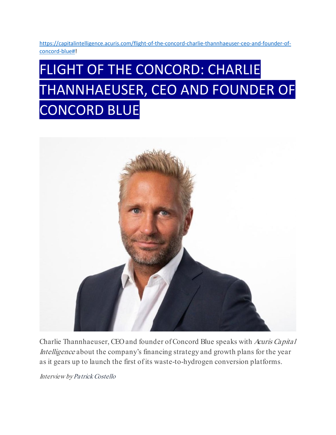[https://capitalintelligence.acuris.com/flight-of-the-concord-charlie-thannhaeuser-ceo-and-founder-of](https://capitalintelligence.acuris.com/flight-of-the-concord-charlie-thannhaeuser-ceo-and-founder-of-concord-blue)[concord-blue#!](https://capitalintelligence.acuris.com/flight-of-the-concord-charlie-thannhaeuser-ceo-and-founder-of-concord-blue)

# FLIGHT OF THE CONCORD: CHARLIE THANNHAEUSER, CEO AND FOUNDER OF CONCORD BLUE



Charlie Thannhaeuser, CEO and founder of Concord Blue speaks with Acuris Capital Intelligence about the company's financing strategy and growth plans for the year as it gears up to launch the first of its waste-to-hydrogen conversion platforms.

Interview b[yPatrick Costello](mailto:patrick.costello@iongroup.com)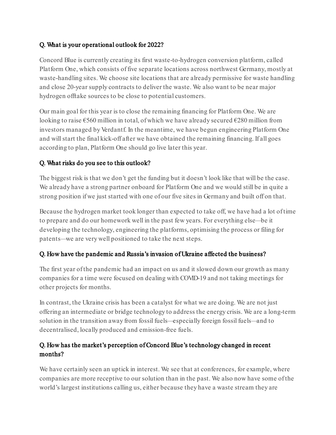## Q. What is your operational outlook for 2022?

Concord Blue is currently creating its first waste-to-hydrogen conversion platform, called Platform One, which consists of five separate locations across northwest Germany, mostly at waste-handling sites. We choose site locations that are already permissive for waste handling and close 20-year supply contracts to deliver the waste. We also want to be near major hydrogen offtake sources to be close to potential customers.

Our main goal for this year is to close the remaining financing for Platform One. We are looking to raise €560 million in total, of which we have already secured €280 million from investors managed by Verdantf. In the meantime, we have begun engineering Platform One and will start the final kick-off after we have obtained the remaining financing. If all goes according to plan, Platform One should go live later this year.

# Q. What risks do you see to this outlook?

The biggest risk is that we don't get the funding but it doesn't look like that will be the case. We already have a strong partner onboard for Platform One and we would still be in quite a strong position if we just started with one of our five sites in Germany and built off on that.

Because the hydrogen market took longer than expected to take off, we have had a lot of time to prepare and do our homework well in the past few years. For everything else—be it developing the technology, engineering the platforms, optimising the process or filing for patents—we are very well positioned to take the next steps.

#### Q. How have the pandemic and Russia's invasion of Ukraine affected the business?

The first year of the pandemic had an impact on us and it slowed down our growth as many companies for a time were focused on dealing with COVID-19 and not taking meetings for other projects for months.

In contrast, the Ukraine crisis has been a catalyst for what we are doing. We are not just offering an intermediate or bridge technology to address the energy crisis. We are a long-term solution in the transition away from fossil fuels—especially foreign fossil fuels—and to decentralised, locally produced and emission-free fuels.

## Q. How has the market's perception of Concord Blue's technology changed in recent months?

We have certainly seen an uptick in interest. We see that at conferences, for example, where companies are more receptive to our solution than in the past. We also now have some of the world's largest institutions calling us, either because they have a waste stream they are